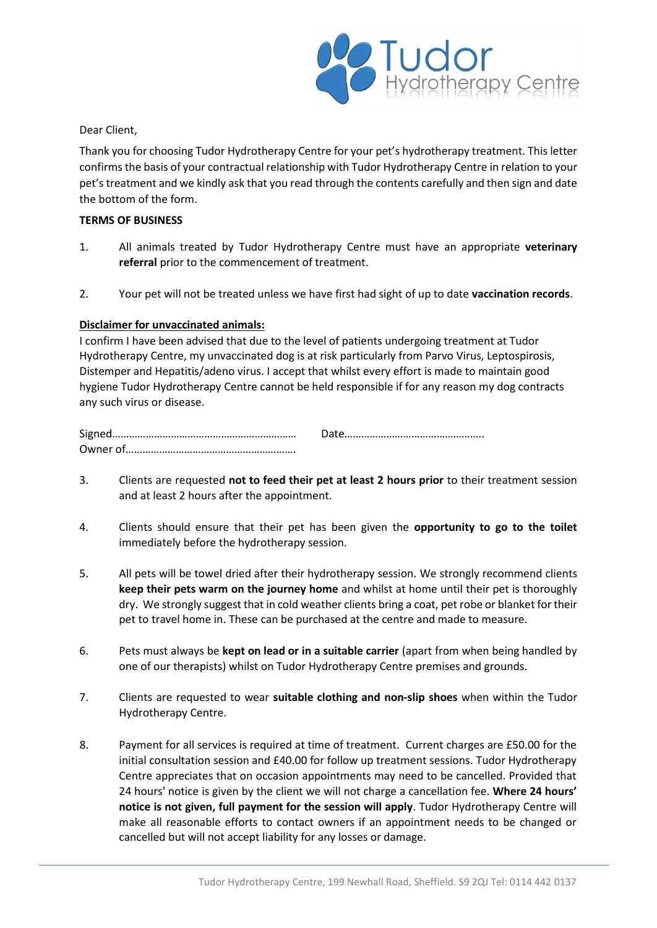

Dear Client,

Thank you for choosing Tudor Hydrotherapy Centre for your pet's hydrotherapy treatment. This letter confirms the basis of your contractual relationship with Tudor Hydrotherapy Centre in relation to your pet's treatment and we kindly ask that you read through the contents carefully and then sign and date the bottom of the form.

## **TERMS OF BUSINESS**

- 1. All animals treated by Tudor Hydrotherapy Centre must have an appropriate **veterinary referral** prior to the commencement of treatment.
- 2. Your pet will not be treated unless we have first had sight of up to date **vaccination records**.

## **Disclaimer for unvaccinated animals:**

I confirm I have been advised that due to the level of patients undergoing treatment at Tudor Hydrotherapy Centre, my unvaccinated dog is at risk particularly from Parvo Virus, Leptospirosis, Distemper and Hepatitis/adeno virus. I accept that whilst every effort is made to maintain good hygiene Tudor Hydrotherapy Centre cannot be held responsible if for any reason my dog contracts any such virus or disease.

| Owner of |  |
|----------|--|

- 3. Clients are requested **not to feed their pet at least 2 hours prior** to their treatment session and at least 2 hours after the appointment.
- 4. Clients should ensure that their pet has been given the **opportunity to go to the toilet**  immediately before the hydrotherapy session.
- 5. All pets will be towel dried after their hydrotherapy session. We strongly recommend clients **keep their pets warm on the journey home** and whilst at home until their pet is thoroughly dry. We strongly suggest that in cold weather clients bring a coat, pet robe or blanket for their pet to travel home in. These can be purchased at the centre and made to measure.
- 6. Pets must always be **kept on lead or in a suitable carrier** (apart from when being handled by one of our therapists) whilst on Tudor Hydrotherapy Centre premises and grounds.
- 7. Clients are requested to wear **suitable clothing and non-slip shoes** when within the Tudor Hydrotherapy Centre.
- 8. Payment for all services is required at time of treatment. Current charges are £50.00 for the initial consultation session and £40.00 for follow up treatment sessions. Tudor Hydrotherapy Centre appreciates that on occasion appointments may need to be cancelled. Provided that 24 hours' notice is given by the client we will not charge a cancellation fee. **Where 24 hours' notice is not given, full payment for the session will apply**. Tudor Hydrotherapy Centre will make all reasonable efforts to contact owners if an appointment needs to be changed or cancelled but will not accept liability for any losses or damage.